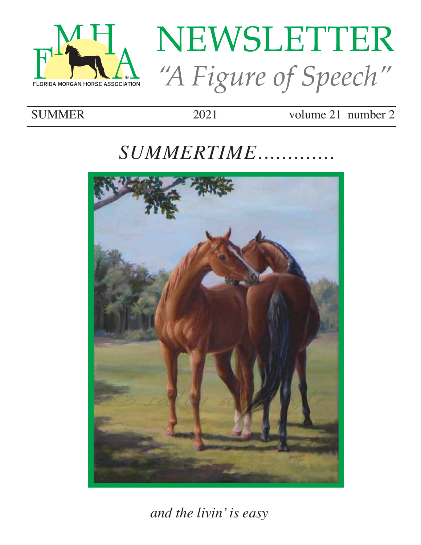

# NEWSLETTER "A Figure of Speech"

## **SUMMER**

2021

volume  $21$  number  $2$ 

# SUMMERTIME........



and the livin' is easy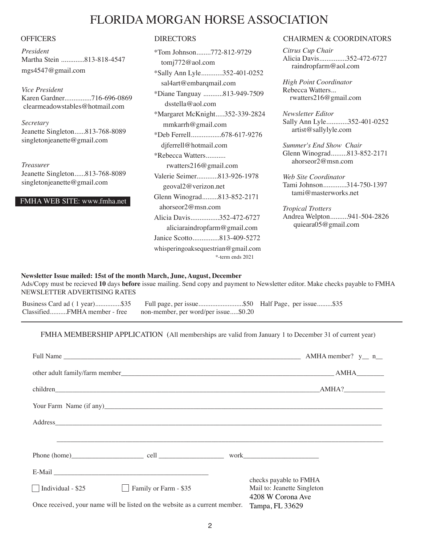### FLORIDA MORGAN HORSE ASSOCIATION

*President* Martha Stein .............813-818-4547 mgs4547@gmail.com

*Vice President*  Karen Gardner...............716-696-0869 clearmeadowstables@hotmail.com

*Secretary* Jeanette Singleton......813-768-8089 singletonjeanette@gmail.com

*Treasurer* Jeanette Singleton......813-768-8089 singletonjeanette@gmail.com

FMHA WEB SITE: www.fmha.net

| *Tom Johnson772-812-9729           |
|------------------------------------|
| tomj772@aol.com                    |
| *Sally Ann Lyle352-401-0252        |
| sal4art@embarqmail.com             |
| *Diane Tanguay 813-949-7509        |
| dsstella@aol.com                   |
| *Margaret McKnight352-339-2824     |
| mmkarrh@gmail.com                  |
| *Deb Ferrell678-617-9276           |
| djferrell@hotmail.com              |
| *Rebecca Watters                   |
| rwatters $216@$ gmail.com          |
| Valerie Seimer813-926-1978         |
| geoval2@verizon.net                |
| Glenn Winograd813-852-2171         |
| ahorseor2@msn.com                  |
| Alicia Davis352-472-6727           |
| aliciaraindropfarm@gmail.com       |
| Janice Scotto813-409-5272          |
| whisperingoaksequestrian@gmail.com |
| *-term ends 2021                   |

#### OFFICERS DIRECTORS DIRECTORS CHAIRMEN & COORDINATORS

*Citrus Cup Chair* Alicia Davis...............352-472-6727 raindropfarm@aol.com

*High Point Coordinator* Rebecca Watters... rwatters216@gmail.com

*Newsletter Editor* Sally Ann Lyle............352-401-0252 artist@sallylyle.com

*Summer's End Show Chair* Glenn Winograd.........813-852-2171 ahorseor2@msn.com

*Web Site Coordinator* Tami Johnson.............314-750-1397 tami@masterworks.net

*Tropical Trotters* Andrea Welpton..........941-504-2826 quieara05@gmail.com

#### **Newsletter Issue mailed: 15st of the month March, June, August, December**

Ads/Copy must be recieved **10** days **before** issue mailing. Send copy and payment to Newsletter editor. Make checks payable to FMHA NEWSLETTER ADVERTISING RATES

Business Card ad ( 1 year)...............\$35 Full page, per issue...............................\$50 Half Page, per issue.........\$35<br>Classified..........FMHA member - free non-member, per word/per issue.....\$0.20 non-member, per word/per issue.....\$0.20

#### FMHA MEMBERSHIP APPLICATION (All memberships are valid from January 1 to December 31 of current year)

|                                                                             | children AMHA?        |  |                                                                            |  |
|-----------------------------------------------------------------------------|-----------------------|--|----------------------------------------------------------------------------|--|
|                                                                             |                       |  |                                                                            |  |
|                                                                             |                       |  |                                                                            |  |
|                                                                             |                       |  |                                                                            |  |
|                                                                             |                       |  |                                                                            |  |
|                                                                             |                       |  |                                                                            |  |
| $\Box$ Individual - \$25                                                    | Family or Farm - \$35 |  | checks payable to FMHA<br>Mail to: Jeanette Singleton<br>4208 W Corona Ave |  |
| Once received, your name will be listed on the website as a current member. |                       |  | Tampa, FL 33629                                                            |  |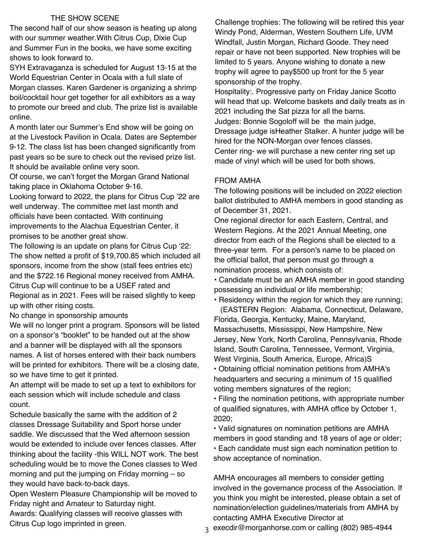#### THE SHOW SCENE

The second half of our show season is heating up along with our summer weather.With Citrus Cup, Dixie Cup and Summer Fun in the books, we have some exciting shows to look forward to.

SYH Extravaganza is scheduled for August 13-15 at the World Equestrian Center in Ocala with a full slate of Morgan classes. Karen Gardener is organizing a shrimp boil/cocktail hour get together for all exhibitors as a way to promote our breed and club. The prize list is available online.

A month later our Summer's End show will be going on at the Livestock Pavilion in Ocala. Dates are September 9-12. The class list has been changed significantly from past years so be sure to check out the revised prize list. It should be available online very soon.

Of course, we can't forget the Morgan Grand National taking place in Oklahoma October 9-16.

Looking forward to 2022, the plans for Citrus Cup '22 are well underway. The committee met last month and officials have been contacted. With continuing improvements to the Alachua Equestrian Center, it promises to be another great show.

The following is an update on plans for Citrus Cup '22: The show netted a profit of \$19,700.85 which included all sponsors, income from the show (stall fees entries etc) and the \$722.16 Regional money received from AMHA. Citrus Cup will continue to be a USEF rated and Regional as in 2021. Fees will be raised slightly to keep up with other rising costs.

No change in sponsorship amounts

We will no longer print a program. Sponsors will be listed on a sponsor's "booklet" to be handed out at the show and a banner will be displayed with all the sponsors names. A list of horses entered with their back numbers will be printed for exhibitors. There will be a closing date, so we have time to get it printed.

An attempt will be made to set up a text to exhibitors for each session which will include schedule and class count.

Schedule basically the same with the addition of 2 classes Dressage Suitability and Sport horse under saddle. We discussed that the Wed afternoon session would be extended to include over fences classes. After thinking about the facility -this WILL NOT work. The best scheduling would be to move the Cones classes to Wed morning and put the jumping on Friday morning – so they would have back-to-back days.

Open Western Pleasure Championship will be moved to Friday night and Amateur to Saturday night.

Awards: Qualifying classes will receive glasses with Citrus Cup logo imprinted in green.

Challenge trophies: The following will be retired this year Windy Pond, Alderman, Western Southern Life, UVM Windfall, Justin Morgan, Richard Goode. They need repair or have not been supported. New trophies will be limited to 5 years. Anyone wishing to donate a new trophy will agree to pay\$500 up front for the 5 year sponsorship of the trophy.

Hospitality:. Progressive party on Friday Janice Scotto will head that up. Welcome baskets and daily treats as in 2021 including the Sat pizza for all the barns. Judges: Bonnie Sogoloff will be the main judge, Dressage judge isHeather Stalker. A hunter judge will be hired for the NON-Morgan over fences classes. Center ring- we will purchase a new center ring set up made of vinyl which will be used for both shows.

#### FROM AMHA

The following positions will be included on 2022 election ballot distributed to AMHA members in good standing as of December 31, 2021.

One regional director for each Eastern, Central, and Western Regions. At the 2021 Annual Meeting, one director from each of the Regions shall be elected to a three-year term. For a person's name to be placed on the official ballot, that person must go through a nomination process, which consists of:

• Candidate must be an AMHA member in good standing possessing an individual or life membership;

• Residency within the region for which they are running;

 (EASTERN Region: Alabama, Connecticut, Delaware, Florida, Georgia, Kentucky, Maine, Maryland, Massachusetts, Mississippi, New Hampshire, New Jersey, New York, North Carolina, Pennsylvania, Rhode Island, South Carolina, Tennessee, Vermont, Virginia, West Virginia, South America, Europe, Africa)S

• Obtaining official nomination petitions from AMHA's headquarters and securing a minimum of 15 qualified voting members signatures of the region;

• Filing the nomination petitions, with appropriate number of qualified signatures, with AMHA office by October 1, 2020;

• Valid signatures on nomination petitions are AMHA members in good standing and 18 years of age or older; • Each candidate must sign each nomination petition to show acceptance of nomination.

AMHA encourages all members to consider getting involved in the governance process of the Association. If you think you might be interested, please obtain a set of nomination/election guidelines/materials from AMHA by contacting AMHA Executive Director at

a execdir@morganhorse.com or calling (802) 985-4944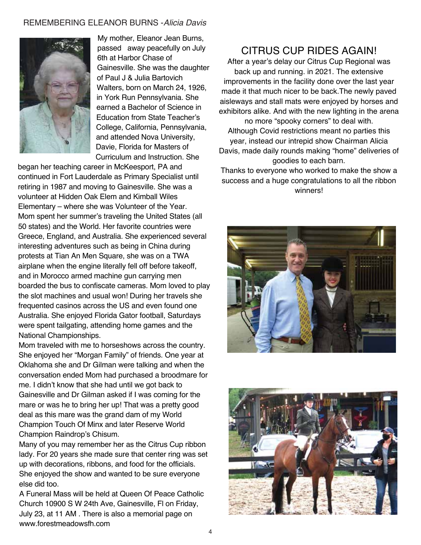#### REMEMBERING ELEANOR BURNS -*Alicia Davis*



My mother, Eleanor Jean Burns, passed away peacefully on July 6th at Harbor Chase of Gainesville. She was the daughter of Paul J & Julia Bartovich Walters, born on March 24, 1926, in York Run Pennsylvania. She earned a Bachelor of Science in Education from State Teacher's College, California, Pennsylvania, and attended Nova University, Davie, Florida for Masters of Curriculum and Instruction. She

began her teaching career in McKeesport, PA and continued in Fort Lauderdale as Primary Specialist until retiring in 1987 and moving to Gainesville. She was a volunteer at Hidden Oak Elem and Kimball Wiles Elementary – where she was Volunteer of the Year. Mom spent her summer's traveling the United States (all 50 states) and the World. Her favorite countries were Greece, England, and Australia. She experienced several interesting adventures such as being in China during protests at Tian An Men Square, she was on a TWA airplane when the engine literally fell off before takeoff, and in Morocco armed machine gun carrying men boarded the bus to confiscate cameras. Mom loved to play the slot machines and usual won! During her travels she frequented casinos across the US and even found one Australia. She enjoyed Florida Gator football, Saturdays were spent tailgating, attending home games and the National Championships.

Mom traveled with me to horseshows across the country. She enjoyed her "Morgan Family" of friends. One year at Oklahoma she and Dr Gilman were talking and when the conversation ended Mom had purchased a broodmare for me. I didn't know that she had until we got back to Gainesville and Dr Gilman asked if I was coming for the mare or was he to bring her up! That was a pretty good deal as this mare was the grand dam of my World Champion Touch Of Minx and later Reserve World Champion Raindrop's Chisum.

Many of you may remember her as the Citrus Cup ribbon lady. For 20 years she made sure that center ring was set up with decorations, ribbons, and food for the officials. She enjoyed the show and wanted to be sure everyone else did too.

A Funeral Mass will be held at Queen Of Peace Catholic Church 10900 S W 24th Ave, Gainesville, Fl on Friday, July 23, at 11 AM . There is also a memorial page on www.forestmeadowsfh.com

#### CITRUS CUP RIDES AGAIN!

After a year's delay our Citrus Cup Regional was back up and running. in 2021. The extensive improvements in the facility done over the last year made it that much nicer to be back.The newly paved aisleways and stall mats were enjoyed by horses and exhibitors alike. And with the new lighting in the arena no more "spooky corners" to deal with.

Although Covid restrictions meant no parties this year, instead our intrepid show Chairman Alicia Davis, made daily rounds making "home" deliveries of goodies to each barn.

Thanks to everyone who worked to make the show a success and a huge congratulations to all the ribbon winners!



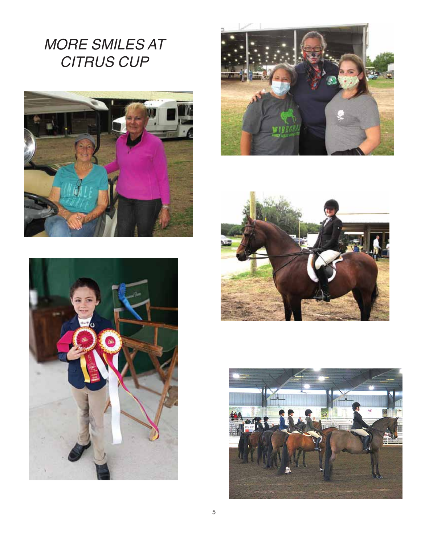*MORE SMILES AT CITRUS CUP*









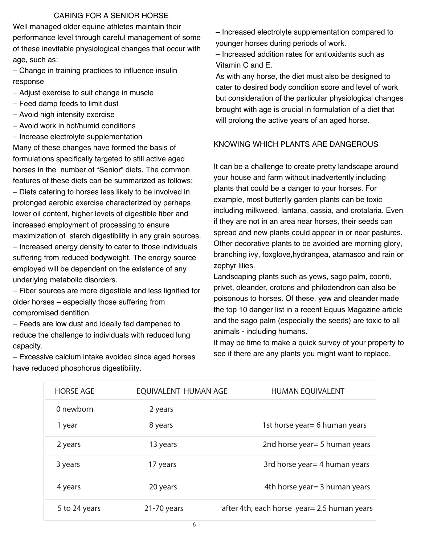#### CARING FOR A SENIOR HORSE

Well managed older equine athletes maintain their performance level through careful management of some of these inevitable physiological changes that occur with age, such as:

– Change in training practices to influence insulin response

- Adjust exercise to suit change in muscle
- Feed damp feeds to limit dust
- Avoid high intensity exercise
- Avoid work in hot/humid conditions
- Increase electrolyte supplementation

Many of these changes have formed the basis of formulations specifically targeted to still active aged horses in the number of "Senior" diets. The common features of these diets can be summarized as follows; – Diets catering to horses less likely to be involved in

prolonged aerobic exercise characterized by perhaps lower oil content, higher levels of digestible fiber and increased employment of processing to ensure maximization of starch digestibility in any grain sources. – Increased energy density to cater to those individuals suffering from reduced bodyweight. The energy source employed will be dependent on the existence of any underlying metabolic disorders.

– Fiber sources are more digestible and less lignified for older horses – especially those suffering from compromised dentition.

– Feeds are low dust and ideally fed dampened to reduce the challenge to individuals with reduced lung capacity.

– Excessive calcium intake avoided since aged horses have reduced phosphorus digestibility.

– Increased electrolyte supplementation compared to younger horses during periods of work.

– Increased addition rates for antioxidants such as Vitamin C and E.

As with any horse, the diet must also be designed to cater to desired body condition score and level of work but consideration of the particular physiological changes brought with age is crucial in formulation of a diet that will prolong the active years of an aged horse.

#### KNOWING WHICH PLANTS ARE DANGEROUS

It can be a challenge to create pretty landscape around your house and farm without inadvertently including plants that could be a danger to your horses. For example, most butterfly garden plants can be toxic including milkweed, lantana, cassia, and crotalaria. Even if they are not in an area near horses, their seeds can spread and new plants could appear in or near pastures. Other decorative plants to be avoided are morning glory, branching ivy, foxglove,hydrangea, atamasco and rain or zephyr lilies.

Landscaping plants such as yews, sago palm, coonti, privet, oleander, crotons and philodendron can also be poisonous to horses. Of these, yew and oleander made the top 10 danger list in a recent Equus Magazine article and the sago palm (especially the seeds) are toxic to all animals - including humans.

It may be time to make a quick survey of your property to see if there are any plants you might want to replace.

| <b>HORSE AGE</b> | EQUIVALENT HUMAN AGE | <b>HUMAN EQUIVALENT</b>                      |
|------------------|----------------------|----------------------------------------------|
| 0 newborn        | 2 years              |                                              |
| 1 year           | 8 years              | 1st horse year = 6 human years               |
| 2 years          | 13 years             | 2nd horse year = 5 human years               |
| 3 years          | 17 years             | 3rd horse year = 4 human years               |
| 4 years          | 20 years             | 4th horse year = 3 human years               |
| 5 to 24 years    | $21-70$ years        | after 4th, each horse year = 2.5 human years |